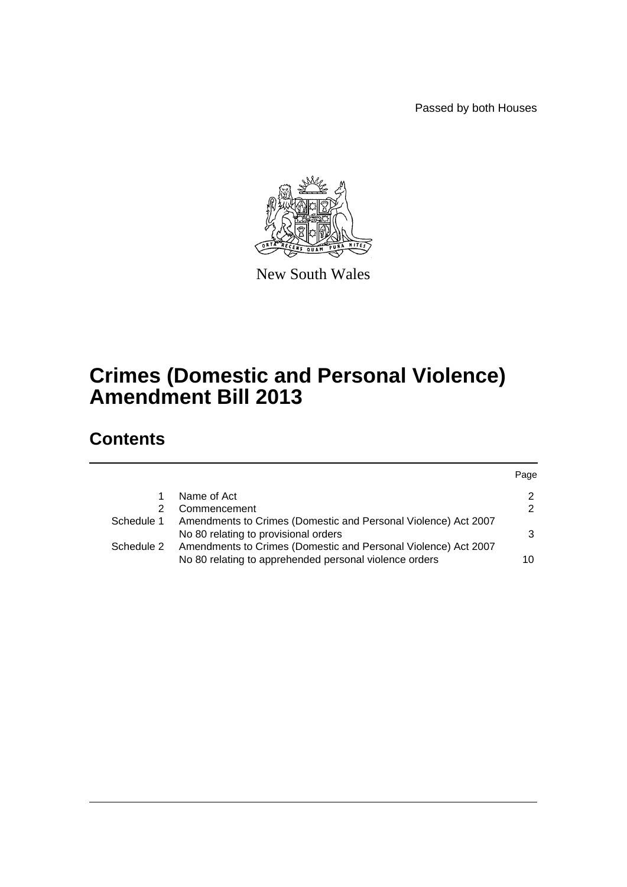Passed by both Houses



New South Wales

# **Crimes (Domestic and Personal Violence) Amendment Bill 2013**

# **Contents**

|            |                                                                                                                          | Page |
|------------|--------------------------------------------------------------------------------------------------------------------------|------|
|            | Name of Act                                                                                                              | 2    |
| 2          | Commencement                                                                                                             | 2    |
| Schedule 1 | Amendments to Crimes (Domestic and Personal Violence) Act 2007<br>No 80 relating to provisional orders                   |      |
| Schedule 2 | Amendments to Crimes (Domestic and Personal Violence) Act 2007<br>No 80 relating to apprehended personal violence orders | 10   |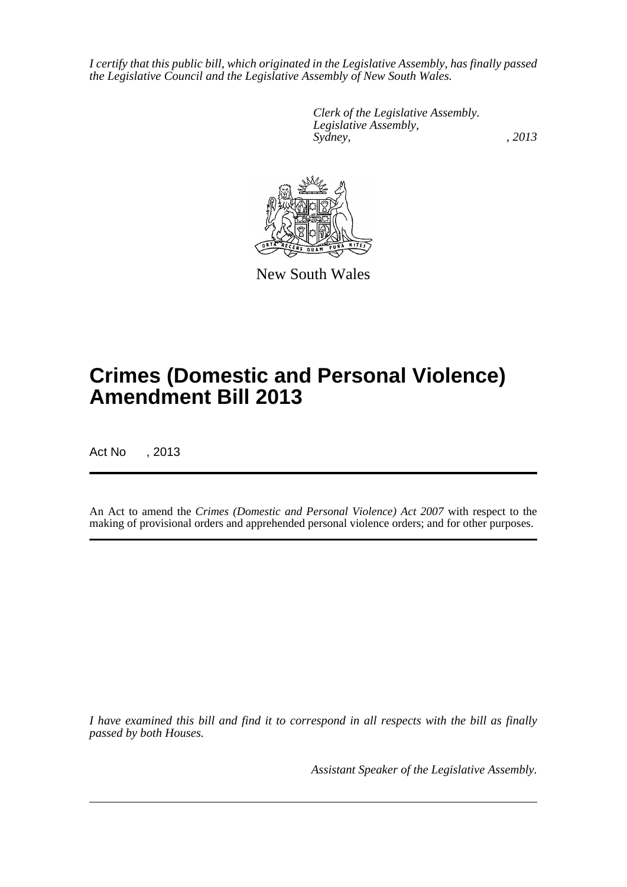*I certify that this public bill, which originated in the Legislative Assembly, has finally passed the Legislative Council and the Legislative Assembly of New South Wales.*

> *Clerk of the Legislative Assembly. Legislative Assembly, Sydney, , 2013*



New South Wales

# **Crimes (Domestic and Personal Violence) Amendment Bill 2013**

Act No , 2013

An Act to amend the *Crimes (Domestic and Personal Violence) Act 2007* with respect to the making of provisional orders and apprehended personal violence orders; and for other purposes.

*I have examined this bill and find it to correspond in all respects with the bill as finally passed by both Houses.*

*Assistant Speaker of the Legislative Assembly.*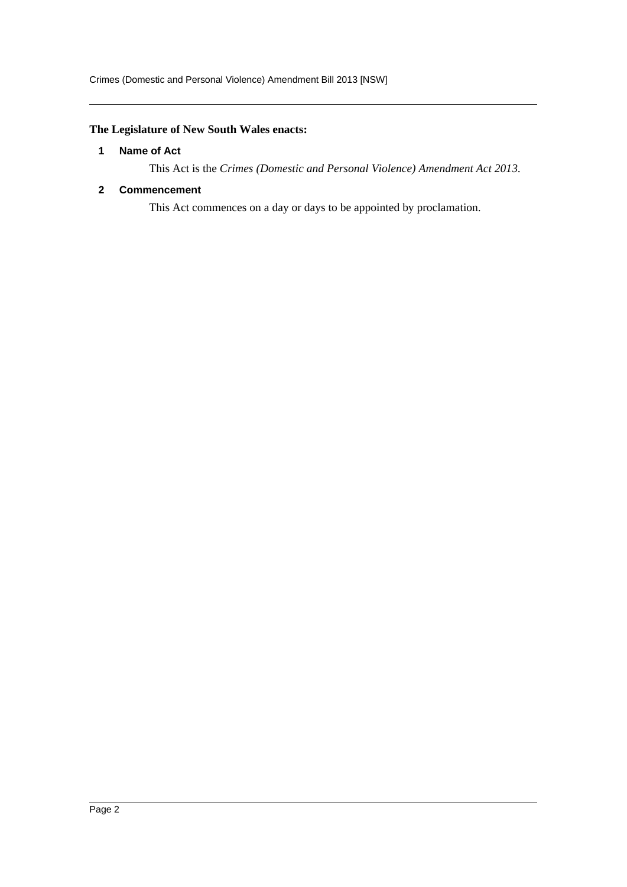# <span id="page-2-0"></span>**The Legislature of New South Wales enacts:**

# **1 Name of Act**

This Act is the *Crimes (Domestic and Personal Violence) Amendment Act 2013*.

# <span id="page-2-1"></span>**2 Commencement**

This Act commences on a day or days to be appointed by proclamation.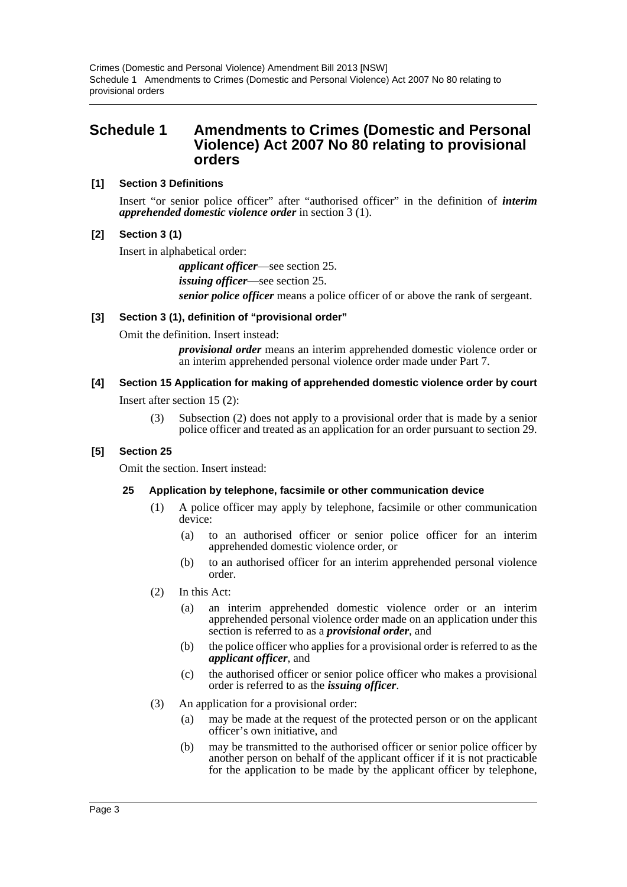# <span id="page-3-0"></span>**Schedule 1 Amendments to Crimes (Domestic and Personal Violence) Act 2007 No 80 relating to provisional orders**

# **[1] Section 3 Definitions**

Insert "or senior police officer" after "authorised officer" in the definition of *interim apprehended domestic violence order* in section 3 (1).

# **[2] Section 3 (1)**

Insert in alphabetical order:

*applicant officer*—see section 25. *issuing officer*—see section 25. *senior police officer* means a police officer of or above the rank of sergeant.

# **[3] Section 3 (1), definition of "provisional order"**

Omit the definition. Insert instead:

*provisional order* means an interim apprehended domestic violence order or an interim apprehended personal violence order made under Part 7.

# **[4] Section 15 Application for making of apprehended domestic violence order by court**

Insert after section 15 (2):

(3) Subsection (2) does not apply to a provisional order that is made by a senior police officer and treated as an application for an order pursuant to section 29.

# **[5] Section 25**

Omit the section. Insert instead:

# **25 Application by telephone, facsimile or other communication device**

- (1) A police officer may apply by telephone, facsimile or other communication device:
	- (a) to an authorised officer or senior police officer for an interim apprehended domestic violence order, or
	- (b) to an authorised officer for an interim apprehended personal violence order.
- (2) In this Act:
	- (a) an interim apprehended domestic violence order or an interim apprehended personal violence order made on an application under this section is referred to as a *provisional order*, and
	- (b) the police officer who applies for a provisional order is referred to as the *applicant officer*, and
	- (c) the authorised officer or senior police officer who makes a provisional order is referred to as the *issuing officer*.
- (3) An application for a provisional order:
	- (a) may be made at the request of the protected person or on the applicant officer's own initiative, and
	- (b) may be transmitted to the authorised officer or senior police officer by another person on behalf of the applicant officer if it is not practicable for the application to be made by the applicant officer by telephone,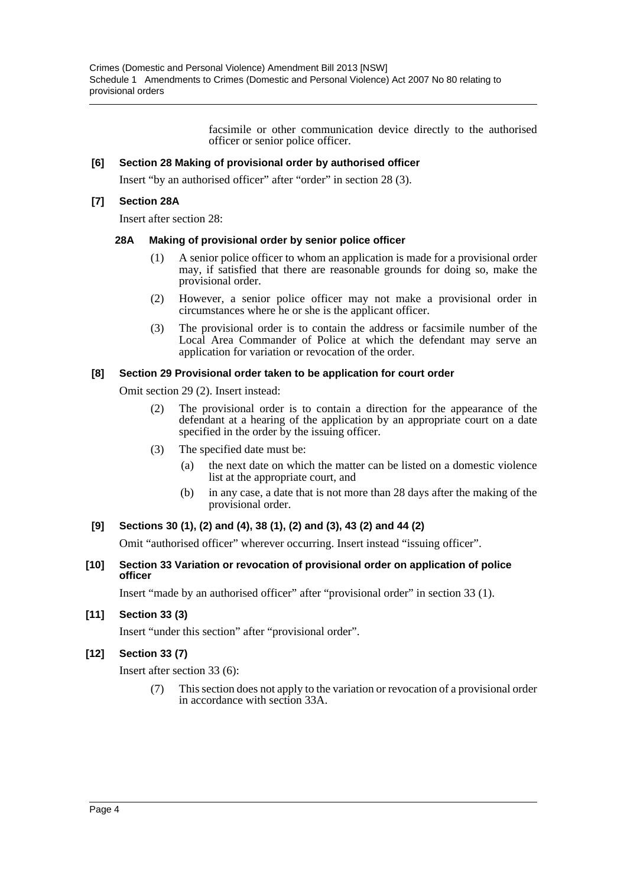facsimile or other communication device directly to the authorised officer or senior police officer.

# **[6] Section 28 Making of provisional order by authorised officer**

Insert "by an authorised officer" after "order" in section 28 (3).

# **[7] Section 28A**

Insert after section 28:

#### **28A Making of provisional order by senior police officer**

- (1) A senior police officer to whom an application is made for a provisional order may, if satisfied that there are reasonable grounds for doing so, make the provisional order.
- (2) However, a senior police officer may not make a provisional order in circumstances where he or she is the applicant officer.
- (3) The provisional order is to contain the address or facsimile number of the Local Area Commander of Police at which the defendant may serve an application for variation or revocation of the order.

#### **[8] Section 29 Provisional order taken to be application for court order**

Omit section 29 (2). Insert instead:

- (2) The provisional order is to contain a direction for the appearance of the defendant at a hearing of the application by an appropriate court on a date specified in the order by the issuing officer.
- (3) The specified date must be:
	- (a) the next date on which the matter can be listed on a domestic violence list at the appropriate court, and
	- (b) in any case, a date that is not more than 28 days after the making of the provisional order.

#### **[9] Sections 30 (1), (2) and (4), 38 (1), (2) and (3), 43 (2) and 44 (2)**

Omit "authorised officer" wherever occurring. Insert instead "issuing officer".

**[10] Section 33 Variation or revocation of provisional order on application of police officer**

Insert "made by an authorised officer" after "provisional order" in section 33 (1).

**[11] Section 33 (3)**

Insert "under this section" after "provisional order".

**[12] Section 33 (7)**

Insert after section 33 (6):

(7) This section does not apply to the variation or revocation of a provisional order in accordance with section 33A.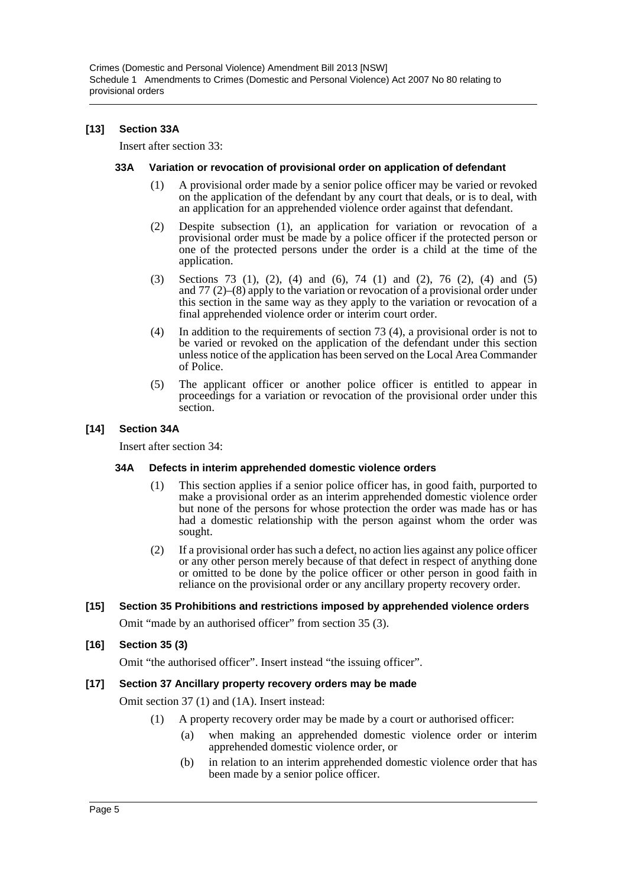# **[13] Section 33A**

Insert after section 33:

#### **33A Variation or revocation of provisional order on application of defendant**

- (1) A provisional order made by a senior police officer may be varied or revoked on the application of the defendant by any court that deals, or is to deal, with an application for an apprehended violence order against that defendant.
- (2) Despite subsection (1), an application for variation or revocation of a provisional order must be made by a police officer if the protected person or one of the protected persons under the order is a child at the time of the application.
- (3) Sections 73 (1), (2), (4) and (6), 74 (1) and (2), 76 (2), (4) and (5) and 77 (2)–(8) apply to the variation or revocation of a provisional order under this section in the same way as they apply to the variation or revocation of a final apprehended violence order or interim court order.
- (4) In addition to the requirements of section 73 (4), a provisional order is not to be varied or revoked on the application of the defendant under this section unless notice of the application has been served on the Local Area Commander of Police.
- (5) The applicant officer or another police officer is entitled to appear in proceedings for a variation or revocation of the provisional order under this section.

# **[14] Section 34A**

Insert after section 34:

#### **34A Defects in interim apprehended domestic violence orders**

- (1) This section applies if a senior police officer has, in good faith, purported to make a provisional order as an interim apprehended domestic violence order but none of the persons for whose protection the order was made has or has had a domestic relationship with the person against whom the order was sought.
- (2) If a provisional order has such a defect, no action lies against any police officer or any other person merely because of that defect in respect of anything done or omitted to be done by the police officer or other person in good faith in reliance on the provisional order or any ancillary property recovery order.

#### **[15] Section 35 Prohibitions and restrictions imposed by apprehended violence orders**

Omit "made by an authorised officer" from section 35 (3).

#### **[16] Section 35 (3)**

Omit "the authorised officer". Insert instead "the issuing officer".

#### **[17] Section 37 Ancillary property recovery orders may be made**

Omit section 37 (1) and (1A). Insert instead:

- (1) A property recovery order may be made by a court or authorised officer:
	- (a) when making an apprehended domestic violence order or interim apprehended domestic violence order, or
	- (b) in relation to an interim apprehended domestic violence order that has been made by a senior police officer.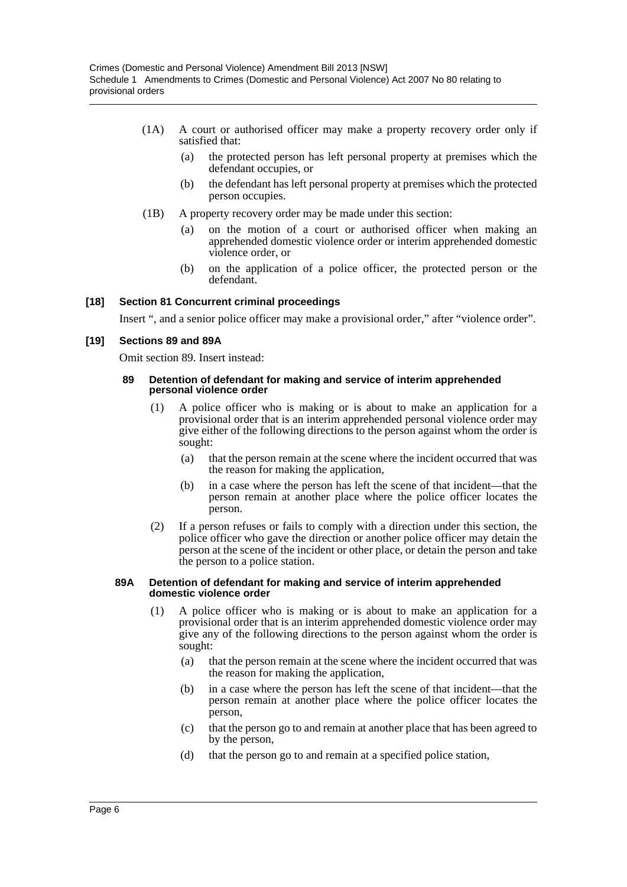- (1A) A court or authorised officer may make a property recovery order only if satisfied that:
	- (a) the protected person has left personal property at premises which the defendant occupies, or
	- (b) the defendant has left personal property at premises which the protected person occupies.
- (1B) A property recovery order may be made under this section:
	- (a) on the motion of a court or authorised officer when making an apprehended domestic violence order or interim apprehended domestic violence order, or
	- (b) on the application of a police officer, the protected person or the defendant.

#### **[18] Section 81 Concurrent criminal proceedings**

Insert ", and a senior police officer may make a provisional order," after "violence order".

#### **[19] Sections 89 and 89A**

Omit section 89. Insert instead:

#### **89 Detention of defendant for making and service of interim apprehended personal violence order**

- (1) A police officer who is making or is about to make an application for a provisional order that is an interim apprehended personal violence order may give either of the following directions to the person against whom the order is sought:
	- (a) that the person remain at the scene where the incident occurred that was the reason for making the application,
	- (b) in a case where the person has left the scene of that incident—that the person remain at another place where the police officer locates the person.
- (2) If a person refuses or fails to comply with a direction under this section, the police officer who gave the direction or another police officer may detain the person at the scene of the incident or other place, or detain the person and take the person to a police station.

#### **89A Detention of defendant for making and service of interim apprehended domestic violence order**

- (1) A police officer who is making or is about to make an application for a provisional order that is an interim apprehended domestic violence order may give any of the following directions to the person against whom the order is sought:
	- (a) that the person remain at the scene where the incident occurred that was the reason for making the application,
	- (b) in a case where the person has left the scene of that incident—that the person remain at another place where the police officer locates the person,
	- (c) that the person go to and remain at another place that has been agreed to by the person,
	- (d) that the person go to and remain at a specified police station,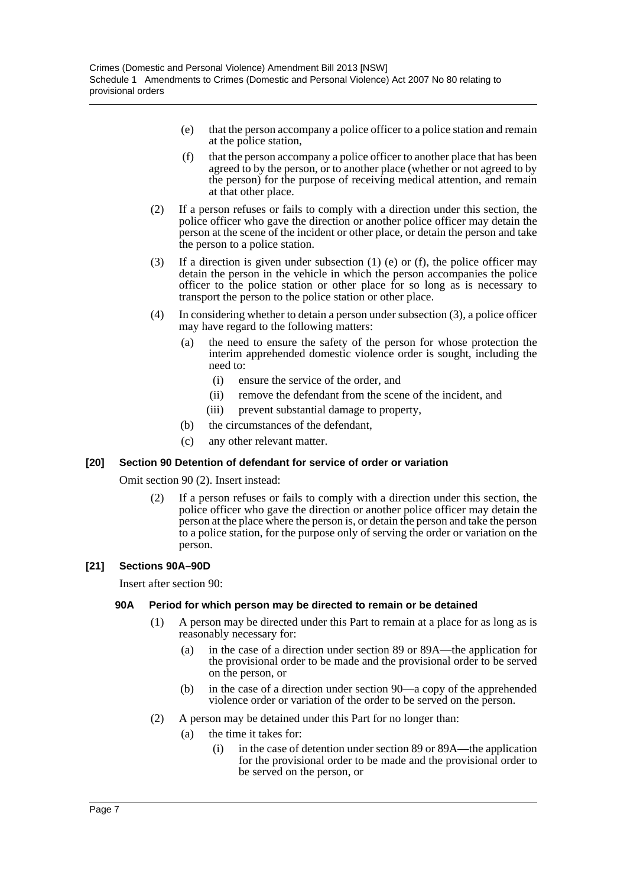- (e) that the person accompany a police officer to a police station and remain at the police station,
- (f) that the person accompany a police officer to another place that has been agreed to by the person, or to another place (whether or not agreed to by the person) for the purpose of receiving medical attention, and remain at that other place.
- (2) If a person refuses or fails to comply with a direction under this section, the police officer who gave the direction or another police officer may detain the person at the scene of the incident or other place, or detain the person and take the person to a police station.
- (3) If a direction is given under subsection (1) (e) or (f), the police officer may detain the person in the vehicle in which the person accompanies the police officer to the police station or other place for so long as is necessary to transport the person to the police station or other place.
- (4) In considering whether to detain a person under subsection (3), a police officer may have regard to the following matters:
	- (a) the need to ensure the safety of the person for whose protection the interim apprehended domestic violence order is sought, including the need to:
		- (i) ensure the service of the order, and
		- (ii) remove the defendant from the scene of the incident, and
		- (iii) prevent substantial damage to property,
	- (b) the circumstances of the defendant,
	- (c) any other relevant matter.

# **[20] Section 90 Detention of defendant for service of order or variation**

Omit section 90 (2). Insert instead:

(2) If a person refuses or fails to comply with a direction under this section, the police officer who gave the direction or another police officer may detain the person at the place where the person is, or detain the person and take the person to a police station, for the purpose only of serving the order or variation on the person.

# **[21] Sections 90A–90D**

Insert after section 90:

#### **90A Period for which person may be directed to remain or be detained**

- (1) A person may be directed under this Part to remain at a place for as long as is reasonably necessary for:
	- (a) in the case of a direction under section 89 or 89A—the application for the provisional order to be made and the provisional order to be served on the person, or
	- (b) in the case of a direction under section 90—a copy of the apprehended violence order or variation of the order to be served on the person.
- (2) A person may be detained under this Part for no longer than:
	- (a) the time it takes for:
		- (i) in the case of detention under section 89 or 89A—the application for the provisional order to be made and the provisional order to be served on the person, or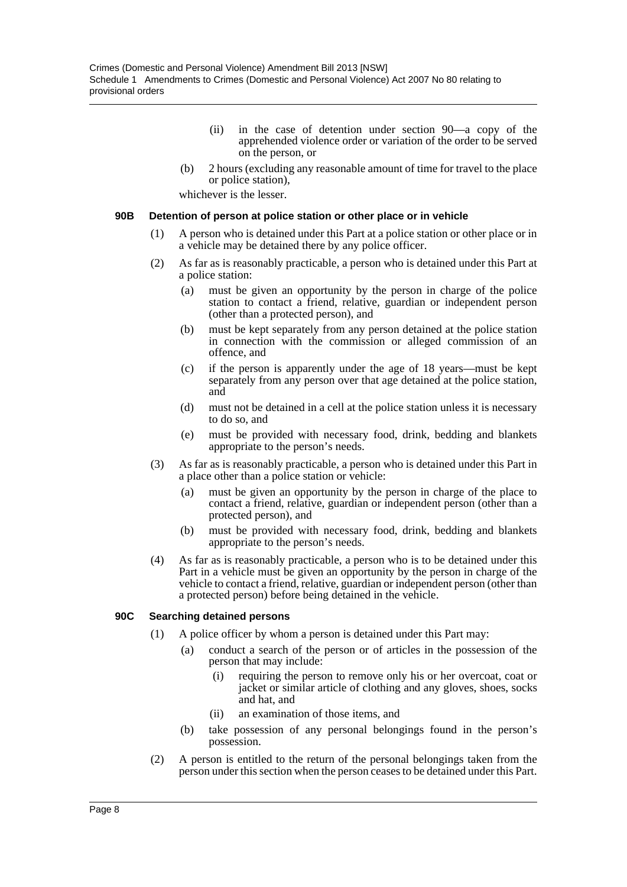- (ii) in the case of detention under section 90—a copy of the apprehended violence order or variation of the order to be served on the person, or
- (b) 2 hours (excluding any reasonable amount of time for travel to the place or police station),

whichever is the lesser.

#### **90B Detention of person at police station or other place or in vehicle**

- (1) A person who is detained under this Part at a police station or other place or in a vehicle may be detained there by any police officer.
- (2) As far as is reasonably practicable, a person who is detained under this Part at a police station:
	- (a) must be given an opportunity by the person in charge of the police station to contact a friend, relative, guardian or independent person (other than a protected person), and
	- (b) must be kept separately from any person detained at the police station in connection with the commission or alleged commission of an offence, and
	- (c) if the person is apparently under the age of 18 years—must be kept separately from any person over that age detained at the police station, and
	- (d) must not be detained in a cell at the police station unless it is necessary to do so, and
	- (e) must be provided with necessary food, drink, bedding and blankets appropriate to the person's needs.
- (3) As far as is reasonably practicable, a person who is detained under this Part in a place other than a police station or vehicle:
	- (a) must be given an opportunity by the person in charge of the place to contact a friend, relative, guardian or independent person (other than a protected person), and
	- (b) must be provided with necessary food, drink, bedding and blankets appropriate to the person's needs.
- (4) As far as is reasonably practicable, a person who is to be detained under this Part in a vehicle must be given an opportunity by the person in charge of the vehicle to contact a friend, relative, guardian or independent person (other than a protected person) before being detained in the vehicle.

# **90C Searching detained persons**

- (1) A police officer by whom a person is detained under this Part may:
	- (a) conduct a search of the person or of articles in the possession of the person that may include:
		- (i) requiring the person to remove only his or her overcoat, coat or jacket or similar article of clothing and any gloves, shoes, socks and hat, and
		- (ii) an examination of those items, and
	- (b) take possession of any personal belongings found in the person's possession.
- (2) A person is entitled to the return of the personal belongings taken from the person under this section when the person ceases to be detained under this Part.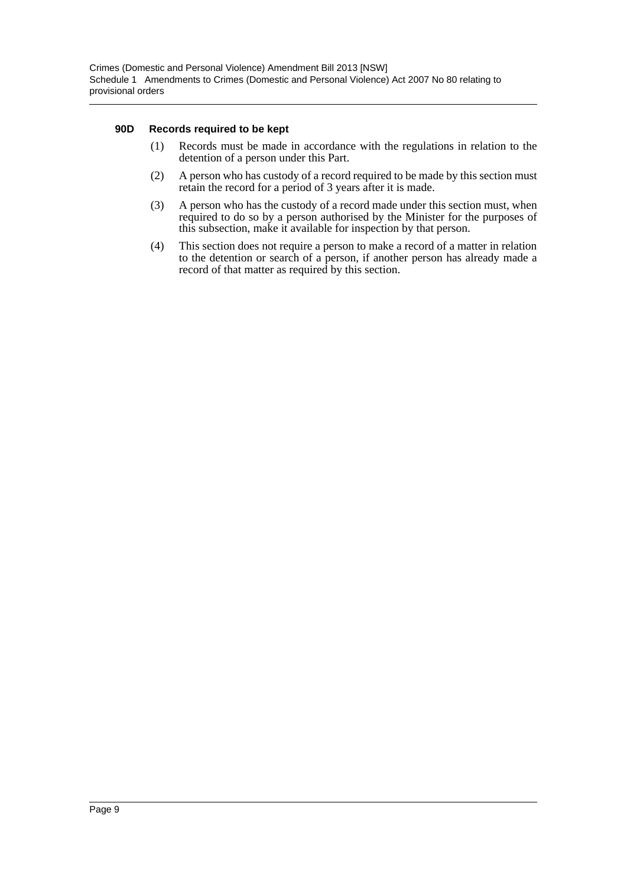#### **90D Records required to be kept**

- (1) Records must be made in accordance with the regulations in relation to the detention of a person under this Part.
- (2) A person who has custody of a record required to be made by this section must retain the record for a period of 3 years after it is made.
- (3) A person who has the custody of a record made under this section must, when required to do so by a person authorised by the Minister for the purposes of this subsection, make it available for inspection by that person.
- (4) This section does not require a person to make a record of a matter in relation to the detention or search of a person, if another person has already made a record of that matter as required by this section.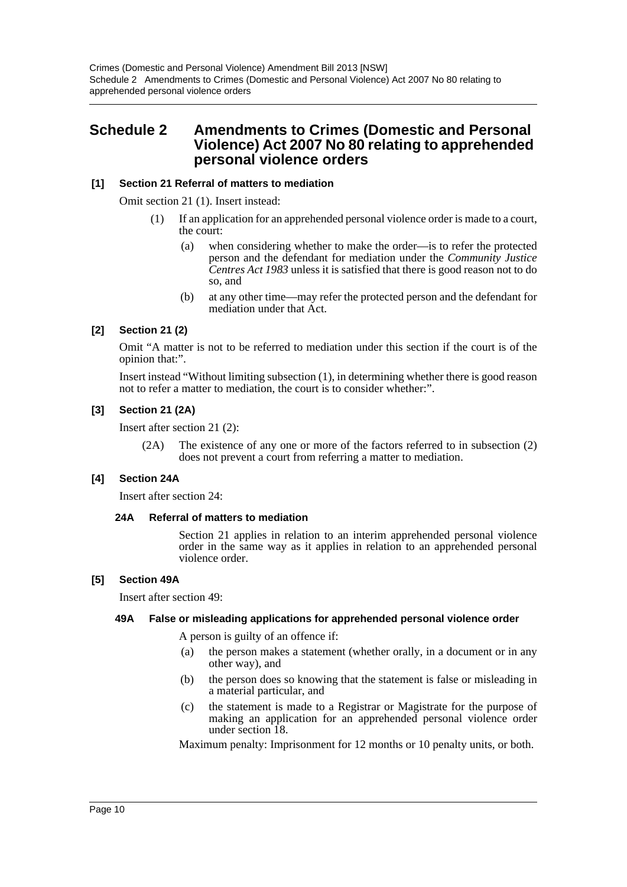# <span id="page-10-0"></span>**Schedule 2 Amendments to Crimes (Domestic and Personal Violence) Act 2007 No 80 relating to apprehended personal violence orders**

# **[1] Section 21 Referral of matters to mediation**

Omit section 21 (1). Insert instead:

- (1) If an application for an apprehended personal violence order is made to a court, the court:
	- (a) when considering whether to make the order—is to refer the protected person and the defendant for mediation under the *Community Justice Centres Act 1983* unless it is satisfied that there is good reason not to do so, and
	- (b) at any other time—may refer the protected person and the defendant for mediation under that Act.

# **[2] Section 21 (2)**

Omit "A matter is not to be referred to mediation under this section if the court is of the opinion that:".

Insert instead "Without limiting subsection (1), in determining whether there is good reason not to refer a matter to mediation, the court is to consider whether:".

#### **[3] Section 21 (2A)**

Insert after section 21 (2):

(2A) The existence of any one or more of the factors referred to in subsection (2) does not prevent a court from referring a matter to mediation.

# **[4] Section 24A**

Insert after section 24:

#### **24A Referral of matters to mediation**

Section 21 applies in relation to an interim apprehended personal violence order in the same way as it applies in relation to an apprehended personal violence order.

#### **[5] Section 49A**

Insert after section 49:

#### **49A False or misleading applications for apprehended personal violence order**

A person is guilty of an offence if:

- (a) the person makes a statement (whether orally, in a document or in any other way), and
- (b) the person does so knowing that the statement is false or misleading in a material particular, and
- (c) the statement is made to a Registrar or Magistrate for the purpose of making an application for an apprehended personal violence order under section 18.

Maximum penalty: Imprisonment for 12 months or 10 penalty units, or both.